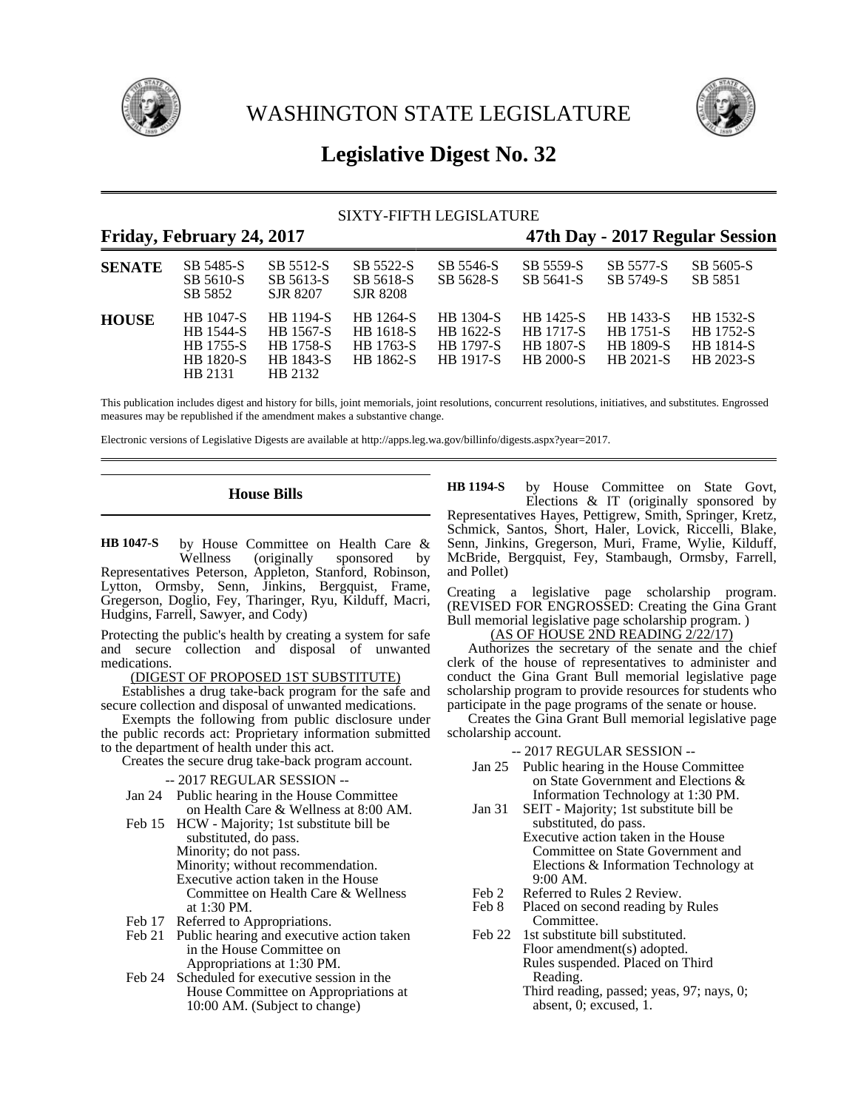



# **Legislative Digest No. 32**

### SIXTY-FIFTH LEGISLATURE

| Friday, February 24, 2017 |                                                                           |                                                                    |                                                                |                                                                | 47th Day - 2017 Regular Session                                       |                                                         |                                                         |
|---------------------------|---------------------------------------------------------------------------|--------------------------------------------------------------------|----------------------------------------------------------------|----------------------------------------------------------------|-----------------------------------------------------------------------|---------------------------------------------------------|---------------------------------------------------------|
| <b>SENATE</b>             | SB 5485-S<br>SB 5610-S<br>SB 5852                                         | SB 5512-S<br>SB 5613-S<br>SJR 8207                                 | SB 5522-S<br>SB 5618-S<br>SJR 8208                             | SB 5546-S<br>SB 5628-S                                         | SB 5559-S<br>SB 5641-S                                                | SB 5577-S<br>SB 5749-S                                  | SB 5605-S<br>SB 5851                                    |
| <b>HOUSE</b>              | HB 1047-S<br><b>HB</b> 1544-S<br>HB 1755-S<br><b>HB</b> 1820-S<br>HB 2131 | HB 1194-S<br>HB 1567-S<br><b>HB</b> 1758-S<br>HB 1843-S<br>HB 2132 | <b>HB</b> 1264-S<br><b>HB</b> 1618-S<br>HB 1763-S<br>HB 1862-S | HB 1304-S<br>HB 1622-S<br><b>HB</b> 1797-S<br><b>HR</b> 1917-S | HB 1425-S<br><b>HB</b> 1717-S<br><b>HB</b> 1807-S<br><b>HB 2000-S</b> | HB 1433-S<br><b>HB</b> 1751-S<br>HB 1809-S<br>HB 2021-S | HB 1532-S<br><b>HB</b> 1752-S<br>HB 1814-S<br>HB 2023-S |

This publication includes digest and history for bills, joint memorials, joint resolutions, concurrent resolutions, initiatives, and substitutes. Engrossed measures may be republished if the amendment makes a substantive change.

Electronic versions of Legislative Digests are available at http://apps.leg.wa.gov/billinfo/digests.aspx?year=2017.

### **House Bills**

by House Committee on Health Care & Wellness (originally sponsored by Representatives Peterson, Appleton, Stanford, Robinson, Lytton, Ormsby, Senn, Jinkins, Bergquist, Frame, Gregerson, Doglio, Fey, Tharinger, Ryu, Kilduff, Macri, Hudgins, Farrell, Sawyer, and Cody) **HB 1047-S**

Protecting the public's health by creating a system for safe and secure collection and disposal of unwanted medications.

(DIGEST OF PROPOSED 1ST SUBSTITUTE)

Establishes a drug take-back program for the safe and secure collection and disposal of unwanted medications.

Exempts the following from public disclosure under the public records act: Proprietary information submitted to the department of health under this act.

Creates the secure drug take-back program account.

- -- 2017 REGULAR SESSION --
- Jan 24 Public hearing in the House Committee on Health Care & Wellness at 8:00 AM.
- Feb 15 HCW Majority; 1st substitute bill be
	- substituted, do pass.
	- Minority; do not pass.

Minority; without recommendation.

- Executive action taken in the House Committee on Health Care & Wellness
- at 1:30 PM.
- Feb 17 Referred to Appropriations.
- Feb 21 Public hearing and executive action taken in the House Committee on Appropriations at 1:30 PM.
- Feb 24 Scheduled for executive session in the House Committee on Appropriations at 10:00 AM. (Subject to change)

by House Committee on State Govt, Elections & IT (originally sponsored by Representatives Hayes, Pettigrew, Smith, Springer, Kretz, Schmick, Santos, Short, Haler, Lovick, Riccelli, Blake, Senn, Jinkins, Gregerson, Muri, Frame, Wylie, Kilduff, McBride, Bergquist, Fey, Stambaugh, Ormsby, Farrell, and Pollet) **HB 1194-S**

Creating a legislative page scholarship program. (REVISED FOR ENGROSSED: Creating the Gina Grant Bull memorial legislative page scholarship program. )

 $(AS OF HOUSE 2ND READING 2/22/17)$ 

Authorizes the secretary of the senate and the chief clerk of the house of representatives to administer and conduct the Gina Grant Bull memorial legislative page scholarship program to provide resources for students who participate in the page programs of the senate or house.

Creates the Gina Grant Bull memorial legislative page scholarship account.

- Jan 25 Public hearing in the House Committee on State Government and Elections & Information Technology at 1:30 PM.
- Jan 31 SEIT Majority; 1st substitute bill be substituted, do pass. Executive action taken in the House Committee on State Government and
	- Elections & Information Technology at 9:00 AM.
- Feb 2 Referred to Rules 2 Review.<br>Feb 8 Placed on second reading by
- Placed on second reading by Rules Committee.
- Feb 22 1st substitute bill substituted. Floor amendment(s) adopted. Rules suspended. Placed on Third Reading.
	- Third reading, passed; yeas, 97; nays, 0; absent, 0; excused, 1.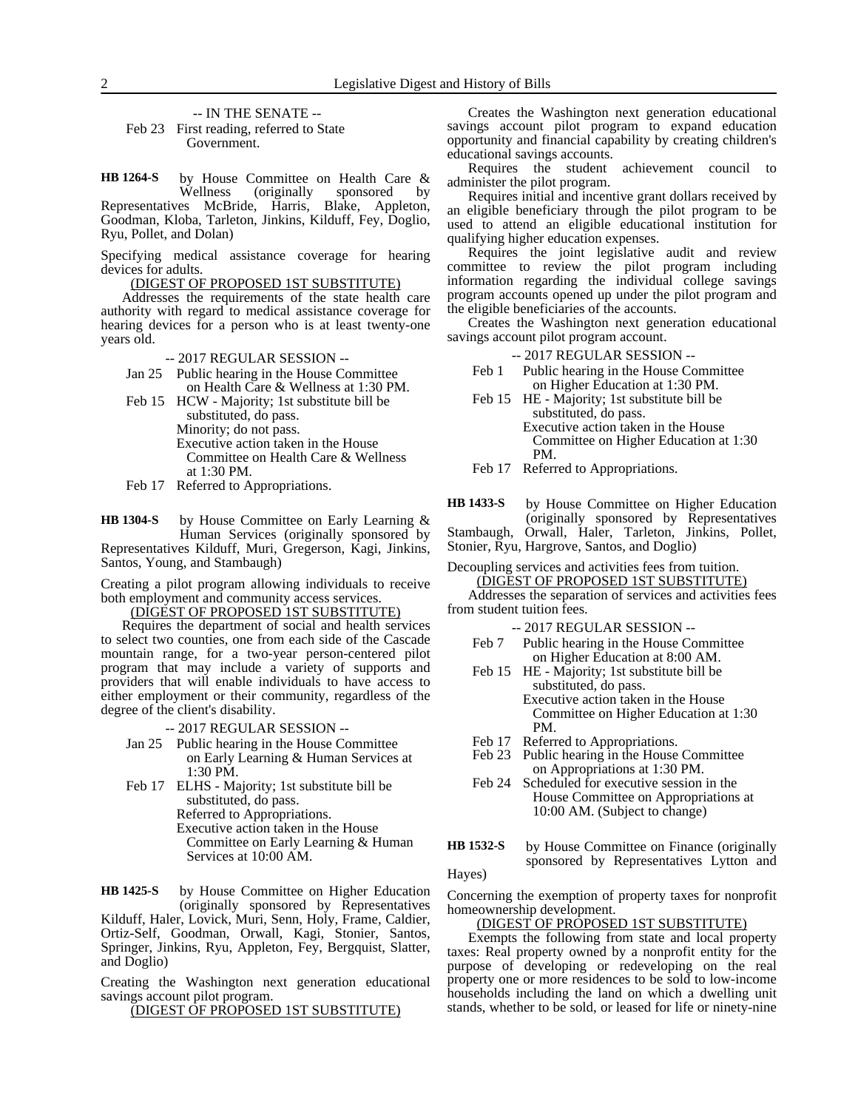-- IN THE SENATE --

Feb 23 First reading, referred to State Government.

by House Committee on Health Care & Wellness (originally sponsored by Representatives McBride, Harris, Blake, Appleton, Goodman, Kloba, Tarleton, Jinkins, Kilduff, Fey, Doglio, Ryu, Pollet, and Dolan) **HB 1264-S**

Specifying medical assistance coverage for hearing devices for adults.

(DIGEST OF PROPOSED 1ST SUBSTITUTE)

Addresses the requirements of the state health care authority with regard to medical assistance coverage for hearing devices for a person who is at least twenty-one years old.

-- 2017 REGULAR SESSION --

Jan 25 Public hearing in the House Committee on Health Care & Wellness at 1:30 PM.

Feb 15 HCW - Majority; 1st substitute bill be substituted, do pass. Minority; do not pass. Executive action taken in the House Committee on Health Care & Wellness at 1:30 PM.

Feb 17 Referred to Appropriations.

by House Committee on Early Learning & Human Services (originally sponsored by Representatives Kilduff, Muri, Gregerson, Kagi, Jinkins, Santos, Young, and Stambaugh) **HB 1304-S**

Creating a pilot program allowing individuals to receive both employment and community access services.

(DIGEST OF PROPOSED 1ST SUBSTITUTE)

Requires the department of social and health services to select two counties, one from each side of the Cascade mountain range, for a two-year person-centered pilot program that may include a variety of supports and providers that will enable individuals to have access to either employment or their community, regardless of the degree of the client's disability.

-- 2017 REGULAR SESSION --

- Jan 25 Public hearing in the House Committee on Early Learning & Human Services at 1:30 PM.
- Feb 17 ELHS Majority; 1st substitute bill be substituted, do pass. Referred to Appropriations. Executive action taken in the House Committee on Early Learning & Human Services at 10:00 AM.

by House Committee on Higher Education (originally sponsored by Representatives Kilduff, Haler, Lovick, Muri, Senn, Holy, Frame, Caldier, Ortiz-Self, Goodman, Orwall, Kagi, Stonier, Santos, Springer, Jinkins, Ryu, Appleton, Fey, Bergquist, Slatter, and Doglio) **HB 1425-S**

Creating the Washington next generation educational savings account pilot program.

(DIGEST OF PROPOSED 1ST SUBSTITUTE)

Creates the Washington next generation educational savings account pilot program to expand education opportunity and financial capability by creating children's educational savings accounts.

Requires the student achievement council to administer the pilot program.

Requires initial and incentive grant dollars received by an eligible beneficiary through the pilot program to be used to attend an eligible educational institution for qualifying higher education expenses.

Requires the joint legislative audit and review committee to review the pilot program including information regarding the individual college savings program accounts opened up under the pilot program and the eligible beneficiaries of the accounts.

Creates the Washington next generation educational savings account pilot program account.

-- 2017 REGULAR SESSION --

- Feb 1 Public hearing in the House Committee on Higher Education at 1:30 PM.
- Feb 15 HE Majority; 1st substitute bill be substituted, do pass. Executive action taken in the House Committee on Higher Education at 1:30 PM.
- Feb 17 Referred to Appropriations.

by House Committee on Higher Education (originally sponsored by Representatives **HB 1433-S**

Stambaugh, Orwall, Haler, Tarleton, Jinkins, Pollet,

Stonier, Ryu, Hargrove, Santos, and Doglio)

Decoupling services and activities fees from tuition. (DIGEST OF PROPOSED 1ST SUBSTITUTE) Addresses the separation of services and activities fees from student tuition fees.

-- 2017 REGULAR SESSION --

- Feb 7 Public hearing in the House Committee on Higher Education at 8:00 AM.
- Feb 15 HE Majority; 1st substitute bill be substituted, do pass. Executive action taken in the House Committee on Higher Education at 1:30 PM.

- Feb 17 Referred to Appropriations.<br>Feb 23 Public hearing in the House Public hearing in the House Committee on Appropriations at 1:30 PM.
- Feb 24 Scheduled for executive session in the House Committee on Appropriations at 10:00 AM. (Subject to change)
- by House Committee on Finance (originally sponsored by Representatives Lytton and **HB 1532-S**

Hayes)

Concerning the exemption of property taxes for nonprofit homeownership development.

### (DIGEST OF PROPOSED 1ST SUBSTITUTE)

Exempts the following from state and local property taxes: Real property owned by a nonprofit entity for the purpose of developing or redeveloping on the real property one or more residences to be sold to low-income households including the land on which a dwelling unit stands, whether to be sold, or leased for life or ninety-nine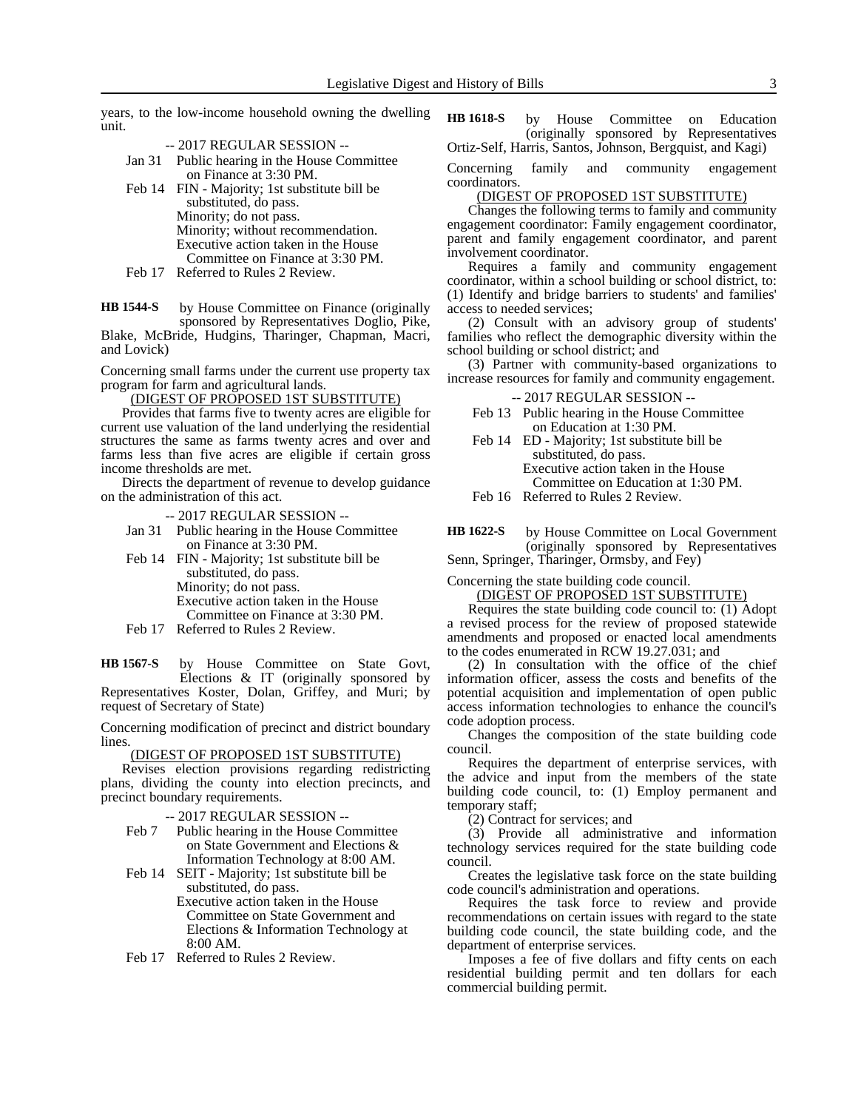years, to the low-income household owning the dwelling unit.

-- 2017 REGULAR SESSION --

- Jan 31 Public hearing in the House Committee on Finance at 3:30 PM.
- Feb 14 FIN Majority; 1st substitute bill be substituted, do pass. Minority; do not pass. Minority; without recommendation. Executive action taken in the House Committee on Finance at 3:30 PM.
- Feb 17 Referred to Rules 2 Review.

by House Committee on Finance (originally sponsored by Representatives Doglio, Pike, Blake, McBride, Hudgins, Tharinger, Chapman, Macri, and Lovick) **HB 1544-S**

Concerning small farms under the current use property tax program for farm and agricultural lands.

(DIGEST OF PROPOSED 1ST SUBSTITUTE)

Provides that farms five to twenty acres are eligible for current use valuation of the land underlying the residential structures the same as farms twenty acres and over and farms less than five acres are eligible if certain gross income thresholds are met.

Directs the department of revenue to develop guidance on the administration of this act.

-- 2017 REGULAR SESSION --

- Jan 31 Public hearing in the House Committee on Finance at 3:30 PM.
- Feb 14 FIN Majority; 1st substitute bill be substituted, do pass. Minority; do not pass. Executive action taken in the House Committee on Finance at 3:30 PM. Feb 17 Referred to Rules 2 Review.
- 

by House Committee on State Govt, Elections & IT (originally sponsored by Representatives Koster, Dolan, Griffey, and Muri; by request of Secretary of State) **HB 1567-S**

Concerning modification of precinct and district boundary lines.

(DIGEST OF PROPOSED 1ST SUBSTITUTE)

Revises election provisions regarding redistricting plans, dividing the county into election precincts, and precinct boundary requirements.

-- 2017 REGULAR SESSION --

- Feb 7 Public hearing in the House Committee on State Government and Elections & Information Technology at 8:00 AM.
- Feb 14 SEIT Majority; 1st substitute bill be substituted, do pass. Executive action taken in the House Committee on State Government and Elections & Information Technology at 8:00 AM.
- Feb 17 Referred to Rules 2 Review.

by House Committee on Education (originally sponsored by Representatives Ortiz-Self, Harris, Santos, Johnson, Bergquist, and Kagi) **HB 1618-S**

Concerning family and community engagement coordinators.

(DIGEST OF PROPOSED 1ST SUBSTITUTE)

Changes the following terms to family and community engagement coordinator: Family engagement coordinator, parent and family engagement coordinator, and parent involvement coordinator.

Requires a family and community engagement coordinator, within a school building or school district, to: (1) Identify and bridge barriers to students' and families' access to needed services;

(2) Consult with an advisory group of students' families who reflect the demographic diversity within the school building or school district; and

(3) Partner with community-based organizations to increase resources for family and community engagement.

-- 2017 REGULAR SESSION --

- Feb 13 Public hearing in the House Committee on Education at 1:30 PM.
- Feb 14 ED Majority; 1st substitute bill be substituted, do pass. Executive action taken in the House Committee on Education at 1:30 PM.
- Feb 16 Referred to Rules 2 Review.
- by House Committee on Local Government (originally sponsored by Representatives Senn, Springer, Tharinger, Ormsby, and Fey) **HB 1622-S**

Concerning the state building code council.

(DIGEST OF PROPOSED 1ST SUBSTITUTE)

Requires the state building code council to: (1) Adopt a revised process for the review of proposed statewide amendments and proposed or enacted local amendments to the codes enumerated in RCW 19.27.031; and

(2) In consultation with the office of the chief information officer, assess the costs and benefits of the potential acquisition and implementation of open public access information technologies to enhance the council's code adoption process.

Changes the composition of the state building code council.

Requires the department of enterprise services, with the advice and input from the members of the state building code council, to: (1) Employ permanent and temporary staff;

(2) Contract for services; and

(3) Provide all administrative and information technology services required for the state building code council.

Creates the legislative task force on the state building code council's administration and operations.

Requires the task force to review and provide recommendations on certain issues with regard to the state building code council, the state building code, and the department of enterprise services.

Imposes a fee of five dollars and fifty cents on each residential building permit and ten dollars for each commercial building permit.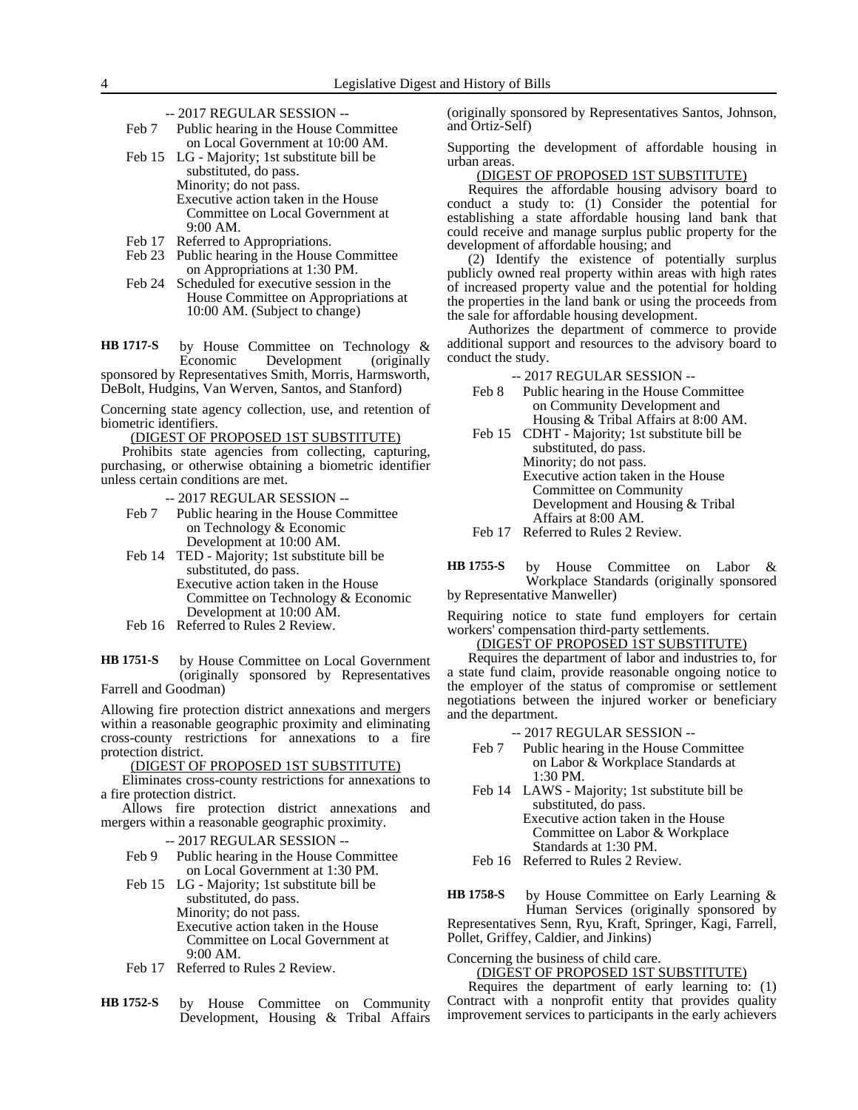- -- 2017 REGULAR SESSION --
- Feb 7 Public hearing in the House Committee on Local Government at 10:00 AM.

Feb 15 LG - Majority; 1st substitute bill be substituted, do pass. Minority; do not pass. Executive action taken in the House Committee on Local Government at 9:00 AM.

- Feb 17 Referred to Appropriations.
- Feb 23 Public hearing in the House Committee on Appropriations at 1:30 PM.
- Feb 24 Scheduled for executive session in the House Committee on Appropriations at 10:00 AM. (Subject to change)

by House Committee on Technology &<br>Economic Development (originally Development (originally sponsored by Representatives Smith, Morris, Harmsworth, DeBolt, Hudgins, Van Werven, Santos, and Stanford) **HB 1717-S**

Concerning state agency collection, use, and retention of biometric identifiers.

(DIGEST OF PROPOSED 1ST SUBSTITUTE)

Prohibits state agencies from collecting, capturing, purchasing, or otherwise obtaining a biometric identifier unless certain conditions are met.

-- 2017 REGULAR SESSION --

- Feb 7 Public hearing in the House Committee on Technology & Economic Development at 10:00 AM.
- Feb 14 TED Majority; 1st substitute bill be substituted, do pass. Executive action taken in the House Committee on Technology & Economic Development at 10:00 AM.
- Feb 16 Referred to Rules 2 Review.

by House Committee on Local Government (originally sponsored by Representatives Farrell and Goodman) **HB 1751-S**

Allowing fire protection district annexations and mergers within a reasonable geographic proximity and eliminating cross-county restrictions for annexations to a fire protection district.

(DIGEST OF PROPOSED 1ST SUBSTITUTE)

Eliminates cross-county restrictions for annexations to a fire protection district.

Allows fire protection district annexations and mergers within a reasonable geographic proximity.

-- 2017 REGULAR SESSION --

- Feb 9 Public hearing in the House Committee on Local Government at 1:30 PM.
- Feb 15 LG Majority; 1st substitute bill be substituted, do pass. Minority; do not pass. Executive action taken in the House Committee on Local Government at 9:00 AM.
- Feb 17 Referred to Rules 2 Review.
- by House Committee on Community Development, Housing & Tribal Affairs **HB 1752-S**

(originally sponsored by Representatives Santos, Johnson, and Ortiz-Self)

Supporting the development of affordable housing in urban areas.

(DIGEST OF PROPOSED 1ST SUBSTITUTE)

Requires the affordable housing advisory board to conduct a study to: (1) Consider the potential for establishing a state affordable housing land bank that could receive and manage surplus public property for the development of affordable housing; and

(2) Identify the existence of potentially surplus publicly owned real property within areas with high rates of increased property value and the potential for holding the properties in the land bank or using the proceeds from the sale for affordable housing development.

Authorizes the department of commerce to provide additional support and resources to the advisory board to conduct the study.

-- 2017 REGULAR SESSION --

- Feb 8 Public hearing in the House Committee on Community Development and Housing & Tribal Affairs at 8:00 AM.
- Feb 15 CDHT Majority; 1st substitute bill be substituted, do pass.

Minority; do not pass.

Executive action taken in the House Committee on Community

Development and Housing & Tribal

Affairs at 8:00 AM.

Feb 17 Referred to Rules 2 Review.

by House Committee on Labor & Workplace Standards (originally sponsored by Representative Manweller) **HB 1755-S**

Requiring notice to state fund employers for certain workers' compensation third-party settlements.

### (DIGEST OF PROPOSED 1ST SUBSTITUTE)

Requires the department of labor and industries to, for a state fund claim, provide reasonable ongoing notice to the employer of the status of compromise or settlement negotiations between the injured worker or beneficiary and the department.

- -- 2017 REGULAR SESSION --
- Feb 7 Public hearing in the House Committee on Labor & Workplace Standards at 1:30 PM.
- Feb 14 LAWS Majority; 1st substitute bill be substituted, do pass. Executive action taken in the House Committee on Labor & Workplace Standards at 1:30 PM.

Feb 16 Referred to Rules 2 Review.

by House Committee on Early Learning & Human Services (originally sponsored by Representatives Senn, Ryu, Kraft, Springer, Kagi, Farrell, Pollet, Griffey, Caldier, and Jinkins) **HB 1758-S**

Concerning the business of child care.

(DIGEST OF PROPOSED 1ST SUBSTITUTE)

Requires the department of early learning to: (1) Contract with a nonprofit entity that provides quality improvement services to participants in the early achievers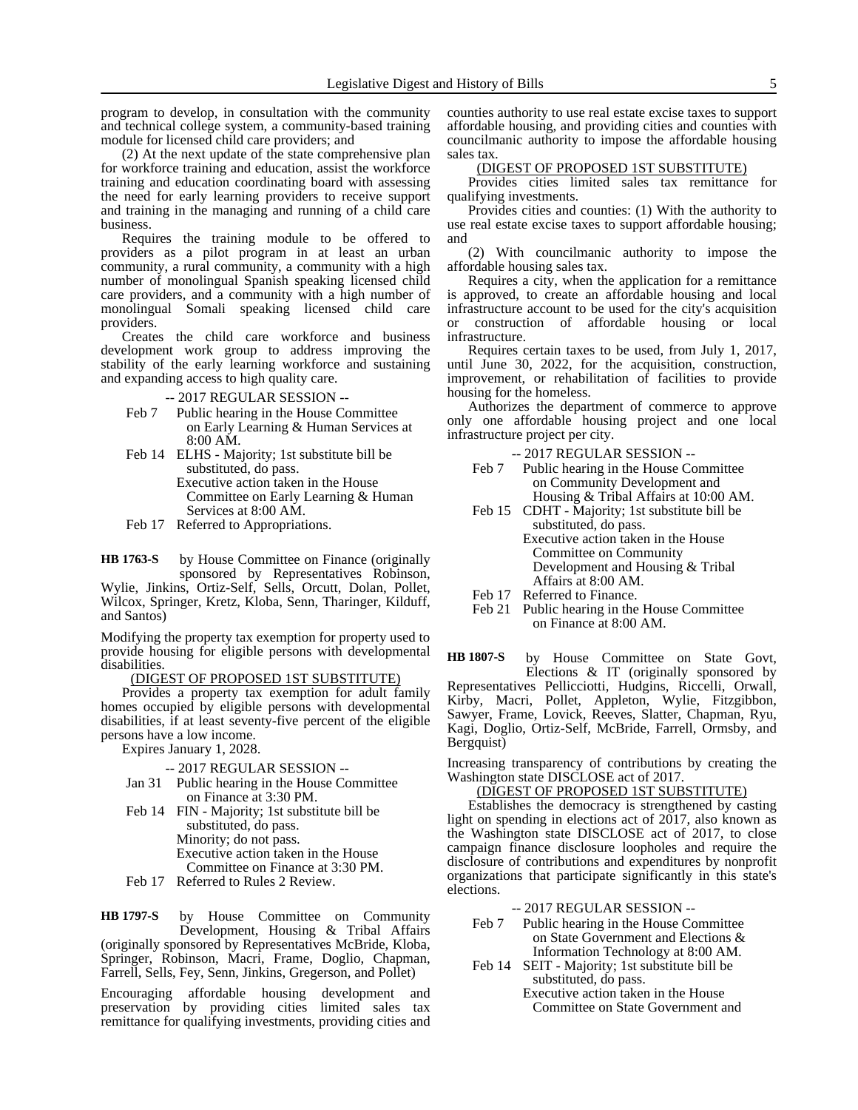program to develop, in consultation with the community and technical college system, a community-based training module for licensed child care providers; and

(2) At the next update of the state comprehensive plan for workforce training and education, assist the workforce training and education coordinating board with assessing the need for early learning providers to receive support and training in the managing and running of a child care business.

Requires the training module to be offered to providers as a pilot program in at least an urban community, a rural community, a community with a high number of monolingual Spanish speaking licensed child care providers, and a community with a high number of monolingual Somali speaking licensed child care providers.

Creates the child care workforce and business development work group to address improving the stability of the early learning workforce and sustaining and expanding access to high quality care.

-- 2017 REGULAR SESSION --

- Feb 7 Public hearing in the House Committee on Early Learning & Human Services at 8:00 AM.
- Feb 14 ELHS Majority; 1st substitute bill be substituted, do pass. Executive action taken in the House Committee on Early Learning & Human Services at 8:00 AM.
- Feb 17 Referred to Appropriations.

by House Committee on Finance (originally sponsored by Representatives Robinson, **HB 1763-S**

Wylie, Jinkins, Ortiz-Self, Sells, Orcutt, Dolan, Pollet, Wilcox, Springer, Kretz, Kloba, Senn, Tharinger, Kilduff, and Santos)

Modifying the property tax exemption for property used to provide housing for eligible persons with developmental disabilities.

### (DIGEST OF PROPOSED 1ST SUBSTITUTE)

Provides a property tax exemption for adult family homes occupied by eligible persons with developmental disabilities, if at least seventy-five percent of the eligible persons have a low income.

Expires January 1, 2028.

#### -- 2017 REGULAR SESSION --

- Jan 31 Public hearing in the House Committee on Finance at 3:30 PM.
- Feb 14 FIN Majority; 1st substitute bill be substituted, do pass. Minority; do not pass. Executive action taken in the House Committee on Finance at 3:30 PM.
- Feb 17 Referred to Rules 2 Review.

by House Committee on Community Development, Housing & Tribal Affairs (originally sponsored by Representatives McBride, Kloba, Springer, Robinson, Macri, Frame, Doglio, Chapman, Farrell, Sells, Fey, Senn, Jinkins, Gregerson, and Pollet) **HB 1797-S**

Encouraging affordable housing development and preservation by providing cities limited sales tax remittance for qualifying investments, providing cities and

counties authority to use real estate excise taxes to support affordable housing, and providing cities and counties with councilmanic authority to impose the affordable housing sales tax.

#### (DIGEST OF PROPOSED 1ST SUBSTITUTE)

Provides cities limited sales tax remittance for qualifying investments.

Provides cities and counties: (1) With the authority to use real estate excise taxes to support affordable housing; and

(2) With councilmanic authority to impose the affordable housing sales tax.

Requires a city, when the application for a remittance is approved, to create an affordable housing and local infrastructure account to be used for the city's acquisition or construction of affordable housing or local infrastructure.

Requires certain taxes to be used, from July 1, 2017, until June 30, 2022, for the acquisition, construction, improvement, or rehabilitation of facilities to provide housing for the homeless.

Authorizes the department of commerce to approve only one affordable housing project and one local infrastructure project per city.

-- 2017 REGULAR SESSION --

- Feb 7 Public hearing in the House Committee on Community Development and Housing & Tribal Affairs at 10:00 AM.
- Feb 15 CDHT Majority; 1st substitute bill be substituted, do pass. Executive action taken in the House Committee on Community Development and Housing & Tribal Affairs at 8:00 AM.
- Feb 17 Referred to Finance.
- Feb 21 Public hearing in the House Committee on Finance at 8:00 AM.

by House Committee on State Govt, Elections & IT (originally sponsored by Representatives Pellicciotti, Hudgins, Riccelli, Orwall, Kirby, Macri, Pollet, Appleton, Wylie, Fitzgibbon, Sawyer, Frame, Lovick, Reeves, Slatter, Chapman, Ryu, Kagi, Doglio, Ortiz-Self, McBride, Farrell, Ormsby, and Bergquist) **HB 1807-S**

Increasing transparency of contributions by creating the Washington state DISCLOSE act of 2017.

#### (DIGEST OF PROPOSED 1ST SUBSTITUTE)

Establishes the democracy is strengthened by casting light on spending in elections act of 2017, also known as the Washington state DISCLOSE act of 2017, to close campaign finance disclosure loopholes and require the disclosure of contributions and expenditures by nonprofit organizations that participate significantly in this state's elections.

-- 2017 REGULAR SESSION --

- Feb 7 Public hearing in the House Committee on State Government and Elections & Information Technology at 8:00 AM.
- Feb 14 SEIT Majority; 1st substitute bill be substituted, do pass.

Executive action taken in the House Committee on State Government and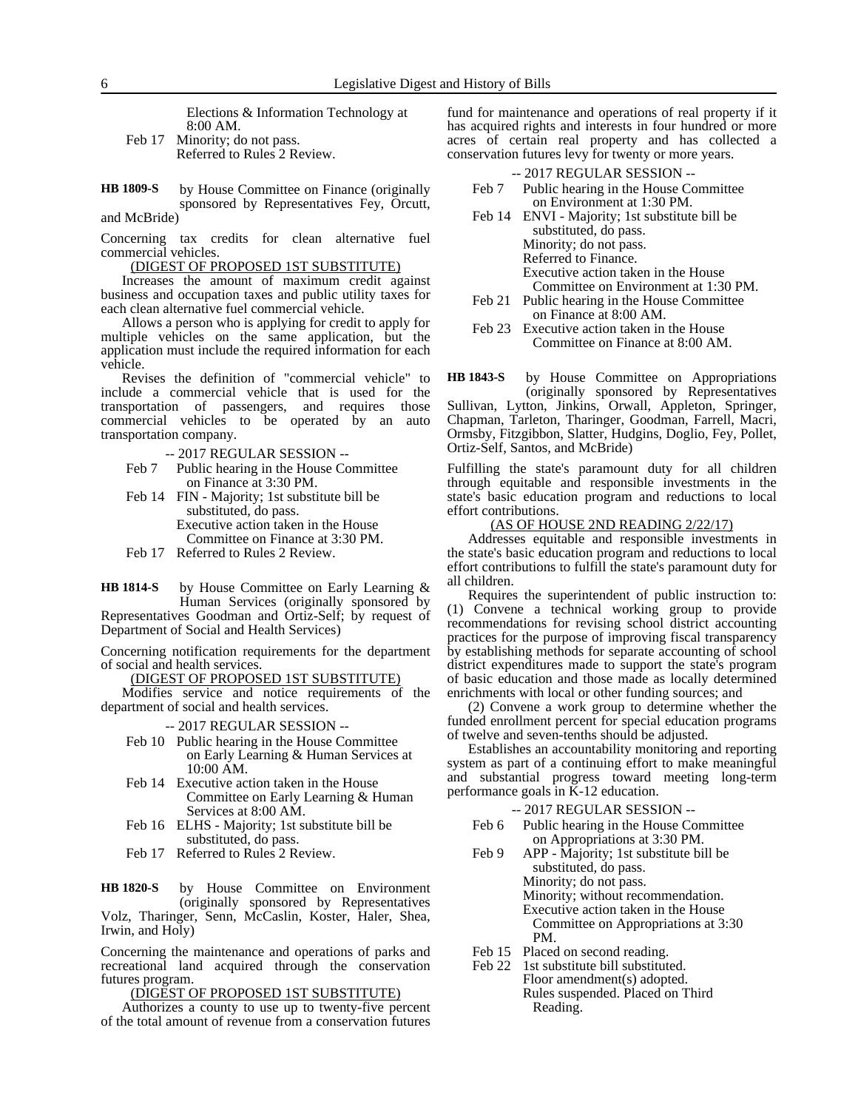Elections & Information Technology at 8:00 AM.

- Feb 17 Minority; do not pass. Referred to Rules 2 Review.
- by House Committee on Finance (originally sponsored by Representatives Fey, Orcutt, and McBride) **HB 1809-S**

Concerning tax credits for clean alternative fuel commercial vehicles.

(DIGEST OF PROPOSED 1ST SUBSTITUTE)

Increases the amount of maximum credit against business and occupation taxes and public utility taxes for each clean alternative fuel commercial vehicle.

Allows a person who is applying for credit to apply for multiple vehicles on the same application, but the application must include the required information for each vehicle.

Revises the definition of "commercial vehicle" to include a commercial vehicle that is used for the transportation of passengers, and requires those commercial vehicles to be operated by an auto transportation company.

- -- 2017 REGULAR SESSION --
- Feb 7 Public hearing in the House Committee on Finance at 3:30 PM.
- Feb 14 FIN Majority; 1st substitute bill be substituted, do pass. Executive action taken in the House Committee on Finance at 3:30 PM.
- Feb 17 Referred to Rules 2 Review.

by House Committee on Early Learning & Human Services (originally sponsored by Representatives Goodman and Ortiz-Self; by request of **HB 1814-S**

Department of Social and Health Services)

Concerning notification requirements for the department of social and health services.

(DIGEST OF PROPOSED 1ST SUBSTITUTE)

Modifies service and notice requirements of the department of social and health services.

-- 2017 REGULAR SESSION --

- Feb 10 Public hearing in the House Committee on Early Learning & Human Services at 10:00 AM.
- Feb 14 Executive action taken in the House Committee on Early Learning & Human Services at 8:00 AM.
- Feb 16 ELHS Majority; 1st substitute bill be substituted, do pass.
- Feb 17 Referred to Rules 2 Review.

by House Committee on Environment (originally sponsored by Representatives Volz, Tharinger, Senn, McCaslin, Koster, Haler, Shea, **HB 1820-S**

Irwin, and Holy)

Concerning the maintenance and operations of parks and recreational land acquired through the conservation futures program.

(DIGEST OF PROPOSED 1ST SUBSTITUTE)

Authorizes a county to use up to twenty-five percent of the total amount of revenue from a conservation futures

fund for maintenance and operations of real property if it has acquired rights and interests in four hundred or more acres of certain real property and has collected a conservation futures levy for twenty or more years.

#### -- 2017 REGULAR SESSION --

- Feb 7 Public hearing in the House Committee on Environment at 1:30 PM.
- Feb 14 ENVI Majority; 1st substitute bill be substituted, do pass. Minority; do not pass. Referred to Finance. Executive action taken in the House Committee on Environment at 1:30 PM.
- Feb 21 Public hearing in the House Committee on Finance at 8:00 AM.
- Feb 23 Executive action taken in the House Committee on Finance at 8:00 AM.

by House Committee on Appropriations (originally sponsored by Representatives **HB 1843-S**

Sullivan, Lytton, Jinkins, Orwall, Appleton, Springer, Chapman, Tarleton, Tharinger, Goodman, Farrell, Macri, Ormsby, Fitzgibbon, Slatter, Hudgins, Doglio, Fey, Pollet, Ortiz-Self, Santos, and McBride)

Fulfilling the state's paramount duty for all children through equitable and responsible investments in the state's basic education program and reductions to local effort contributions.

#### (AS OF HOUSE 2ND READING 2/22/17)

Addresses equitable and responsible investments in the state's basic education program and reductions to local effort contributions to fulfill the state's paramount duty for all children.

Requires the superintendent of public instruction to: (1) Convene a technical working group to provide recommendations for revising school district accounting practices for the purpose of improving fiscal transparency by establishing methods for separate accounting of school district expenditures made to support the state's program of basic education and those made as locally determined enrichments with local or other funding sources; and

(2) Convene a work group to determine whether the funded enrollment percent for special education programs of twelve and seven-tenths should be adjusted.

Establishes an accountability monitoring and reporting system as part of a continuing effort to make meaningful and substantial progress toward meeting long-term performance goals in K-12 education.

- Feb 6 Public hearing in the House Committee on Appropriations at 3:30 PM.
- Feb 9 APP Majority; 1st substitute bill be substituted, do pass. Minority; do not pass. Minority; without recommendation. Executive action taken in the House Committee on Appropriations at 3:30 PM.
- Feb 15 Placed on second reading.
- Feb 22 1st substitute bill substituted. Floor amendment(s) adopted. Rules suspended. Placed on Third Reading.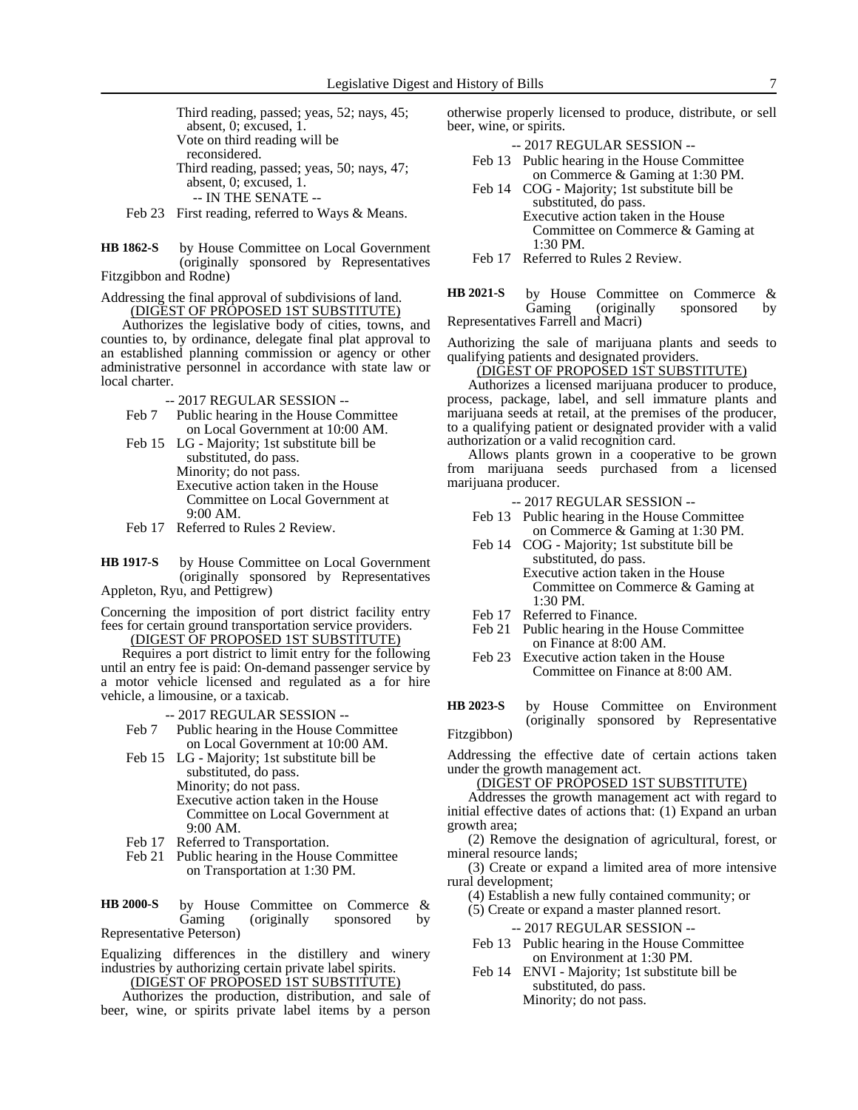Third reading, passed; yeas, 52; nays, 45; absent, 0; excused, 1. Vote on third reading will be reconsidered. Third reading, passed; yeas, 50; nays, 47; absent, 0; excused, 1. -- IN THE SENATE --

Feb 23 First reading, referred to Ways & Means.

by House Committee on Local Government (originally sponsored by Representatives Fitzgibbon and Rodne) **HB 1862-S**

Addressing the final approval of subdivisions of land. (DIGEST OF PROPOSED 1ST SUBSTITUTE)

Authorizes the legislative body of cities, towns, and counties to, by ordinance, delegate final plat approval to an established planning commission or agency or other administrative personnel in accordance with state law or local charter.

-- 2017 REGULAR SESSION --

- Feb 7 Public hearing in the House Committee on Local Government at 10:00 AM.
- Feb 15 LG Majority; 1st substitute bill be substituted, do pass. Minority; do not pass. Executive action taken in the House Committee on Local Government at 9:00 AM.
- Feb 17 Referred to Rules 2 Review.

by House Committee on Local Government (originally sponsored by Representatives Appleton, Ryu, and Pettigrew) **HB 1917-S**

Concerning the imposition of port district facility entry fees for certain ground transportation service providers.

(DIGEST OF PROPOSED 1ST SUBSTITUTE)

Requires a port district to limit entry for the following until an entry fee is paid: On-demand passenger service by a motor vehicle licensed and regulated as a for hire vehicle, a limousine, or a taxicab.

-- 2017 REGULAR SESSION --

Feb 7 Public hearing in the House Committee on Local Government at 10:00 AM.

Feb 15 LG - Majority; 1st substitute bill be substituted, do pass. Minority; do not pass. Executive action taken in the House Committee on Local Government at 9:00 AM.

- Feb 17 Referred to Transportation.
- Feb 21 Public hearing in the House Committee on Transportation at 1:30 PM.

by House Committee on Commerce & Gaming (originally sponsored by Representative Peterson) **HB 2000-S**

Equalizing differences in the distillery and winery industries by authorizing certain private label spirits.

(DIGEST OF PROPOSED 1ST SUBSTITUTE) Authorizes the production, distribution, and sale of beer, wine, or spirits private label items by a person

otherwise properly licensed to produce, distribute, or sell beer, wine, or spirits.

-- 2017 REGULAR SESSION --

- Feb 13 Public hearing in the House Committee on Commerce & Gaming at 1:30 PM.
- Feb 14 COG Majority; 1st substitute bill be substituted, do pass. Executive action taken in the House Committee on Commerce & Gaming at 1:30 PM.

Feb 17 Referred to Rules 2 Review.

by House Committee on Commerce & Gaming (originally sponsored by Representatives Farrell and Macri) **HB 2021-S**

Authorizing the sale of marijuana plants and seeds to qualifying patients and designated providers.

### (DIGEST OF PROPOSED 1ST SUBSTITUTE)

Authorizes a licensed marijuana producer to produce, process, package, label, and sell immature plants and marijuana seeds at retail, at the premises of the producer, to a qualifying patient or designated provider with a valid authorization or a valid recognition card.

Allows plants grown in a cooperative to be grown from marijuana seeds purchased from a licensed marijuana producer.

- -- 2017 REGULAR SESSION --
- Feb 13 Public hearing in the House Committee on Commerce & Gaming at 1:30 PM.
- Feb 14 COG Majority; 1st substitute bill be substituted, do pass. Executive action taken in the House Committee on Commerce & Gaming at 1:30 PM.
- Feb 17 Referred to Finance.
- Feb 21 Public hearing in the House Committee on Finance at 8:00 AM.
- Feb 23 Executive action taken in the House Committee on Finance at 8:00 AM.
- by House Committee on Environment (originally sponsored by Representative **HB 2023-S**

Fitzgibbon)

Addressing the effective date of certain actions taken under the growth management act.

(DIGEST OF PROPOSED 1ST SUBSTITUTE)

Addresses the growth management act with regard to initial effective dates of actions that: (1) Expand an urban growth area;

(2) Remove the designation of agricultural, forest, or mineral resource lands;

(3) Create or expand a limited area of more intensive rural development;

(4) Establish a new fully contained community; or

(5) Create or expand a master planned resort.

- Feb 13 Public hearing in the House Committee on Environment at 1:30 PM.
- Feb 14 ENVI Majority; 1st substitute bill be substituted, do pass. Minority; do not pass.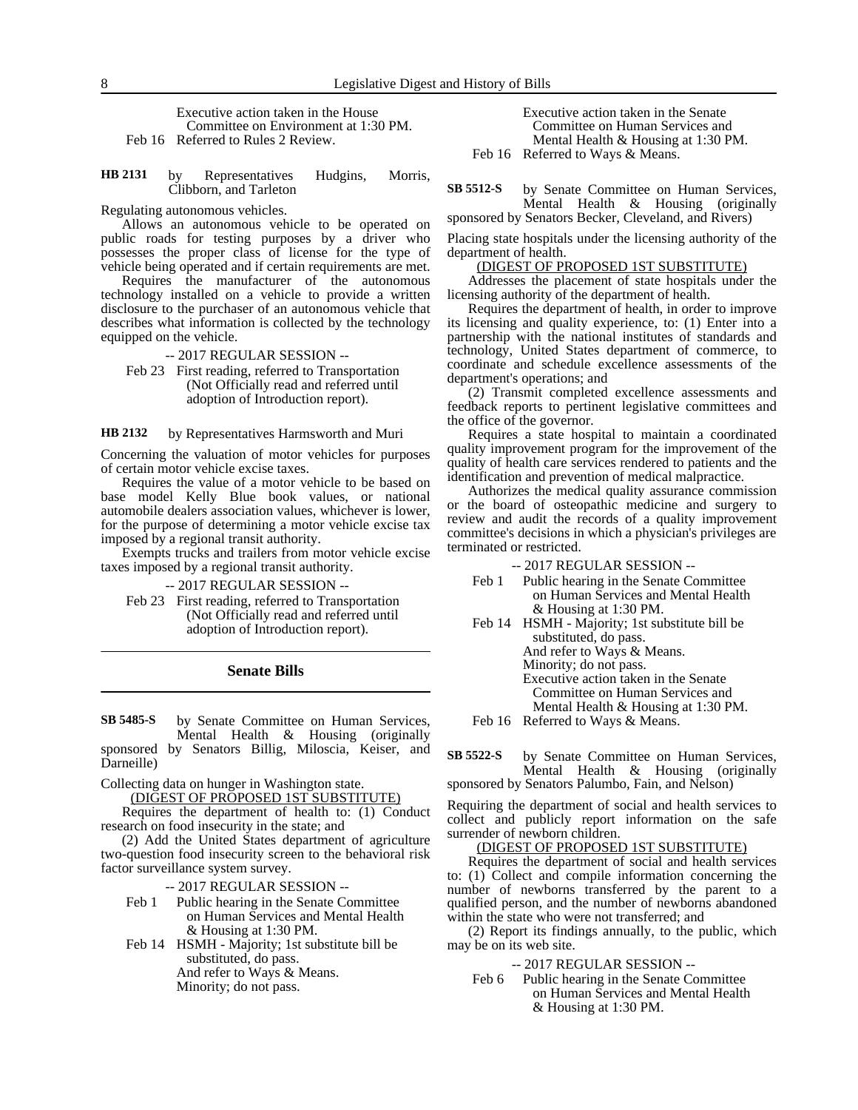Executive action taken in the House Committee on Environment at 1:30 PM. Feb 16 Referred to Rules 2 Review.

by Representatives Hudgins, Morris, Clibborn, and Tarleton **HB 2131**

Regulating autonomous vehicles.

Allows an autonomous vehicle to be operated on public roads for testing purposes by a driver who possesses the proper class of license for the type of vehicle being operated and if certain requirements are met.

Requires the manufacturer of the autonomous technology installed on a vehicle to provide a written disclosure to the purchaser of an autonomous vehicle that describes what information is collected by the technology equipped on the vehicle.

-- 2017 REGULAR SESSION --

Feb 23 First reading, referred to Transportation (Not Officially read and referred until adoption of Introduction report).

#### by Representatives Harmsworth and Muri **HB 2132**

Concerning the valuation of motor vehicles for purposes of certain motor vehicle excise taxes.

Requires the value of a motor vehicle to be based on base model Kelly Blue book values, or national automobile dealers association values, whichever is lower, for the purpose of determining a motor vehicle excise tax imposed by a regional transit authority.

Exempts trucks and trailers from motor vehicle excise taxes imposed by a regional transit authority.

-- 2017 REGULAR SESSION --

Feb 23 First reading, referred to Transportation (Not Officially read and referred until adoption of Introduction report).

### **Senate Bills**

by Senate Committee on Human Services, Mental Health & Housing (originally sponsored by Senators Billig, Miloscia, Keiser, and Darneille) **SB 5485-S**

Collecting data on hunger in Washington state.

(DIGEST OF PROPOSED 1ST SUBSTITUTE)

Requires the department of health to: (1) Conduct research on food insecurity in the state; and

(2) Add the United States department of agriculture two-question food insecurity screen to the behavioral risk factor surveillance system survey.

-- 2017 REGULAR SESSION --

Feb 1 Public hearing in the Senate Committee on Human Services and Mental Health & Housing at 1:30 PM.

Feb 14 HSMH - Majority; 1st substitute bill be substituted, do pass. And refer to Ways & Means. Minority; do not pass.

Executive action taken in the Senate Committee on Human Services and Mental Health & Housing at 1:30 PM. Feb 16 Referred to Ways & Means.

by Senate Committee on Human Services, Mental Health & Housing (originally sponsored by Senators Becker, Cleveland, and Rivers) **SB 5512-S**

Placing state hospitals under the licensing authority of the

department of health. (DIGEST OF PROPOSED 1ST SUBSTITUTE)

Addresses the placement of state hospitals under the licensing authority of the department of health.

Requires the department of health, in order to improve its licensing and quality experience, to: (1) Enter into a partnership with the national institutes of standards and technology, United States department of commerce, to coordinate and schedule excellence assessments of the department's operations; and

(2) Transmit completed excellence assessments and feedback reports to pertinent legislative committees and the office of the governor.

Requires a state hospital to maintain a coordinated quality improvement program for the improvement of the quality of health care services rendered to patients and the identification and prevention of medical malpractice.

Authorizes the medical quality assurance commission or the board of osteopathic medicine and surgery to review and audit the records of a quality improvement committee's decisions in which a physician's privileges are terminated or restricted.

-- 2017 REGULAR SESSION --

- Feb 1 Public hearing in the Senate Committee on Human Services and Mental Health & Housing at 1:30 PM.
- Feb 14 HSMH Majority; 1st substitute bill be substituted, do pass. And refer to Ways & Means. Minority; do not pass.

Executive action taken in the Senate

Committee on Human Services and

Mental Health & Housing at 1:30 PM.

Feb 16 Referred to Ways & Means.

by Senate Committee on Human Services, Mental Health & Housing (originally sponsored by Senators Palumbo, Fain, and Nelson) **SB 5522-S**

Requiring the department of social and health services to collect and publicly report information on the safe surrender of newborn children.

(DIGEST OF PROPOSED 1ST SUBSTITUTE)

Requires the department of social and health services to: (1) Collect and compile information concerning the number of newborns transferred by the parent to a qualified person, and the number of newborns abandoned within the state who were not transferred; and

(2) Report its findings annually, to the public, which may be on its web site.

-- 2017 REGULAR SESSION --

Feb 6 Public hearing in the Senate Committee on Human Services and Mental Health & Housing at 1:30 PM.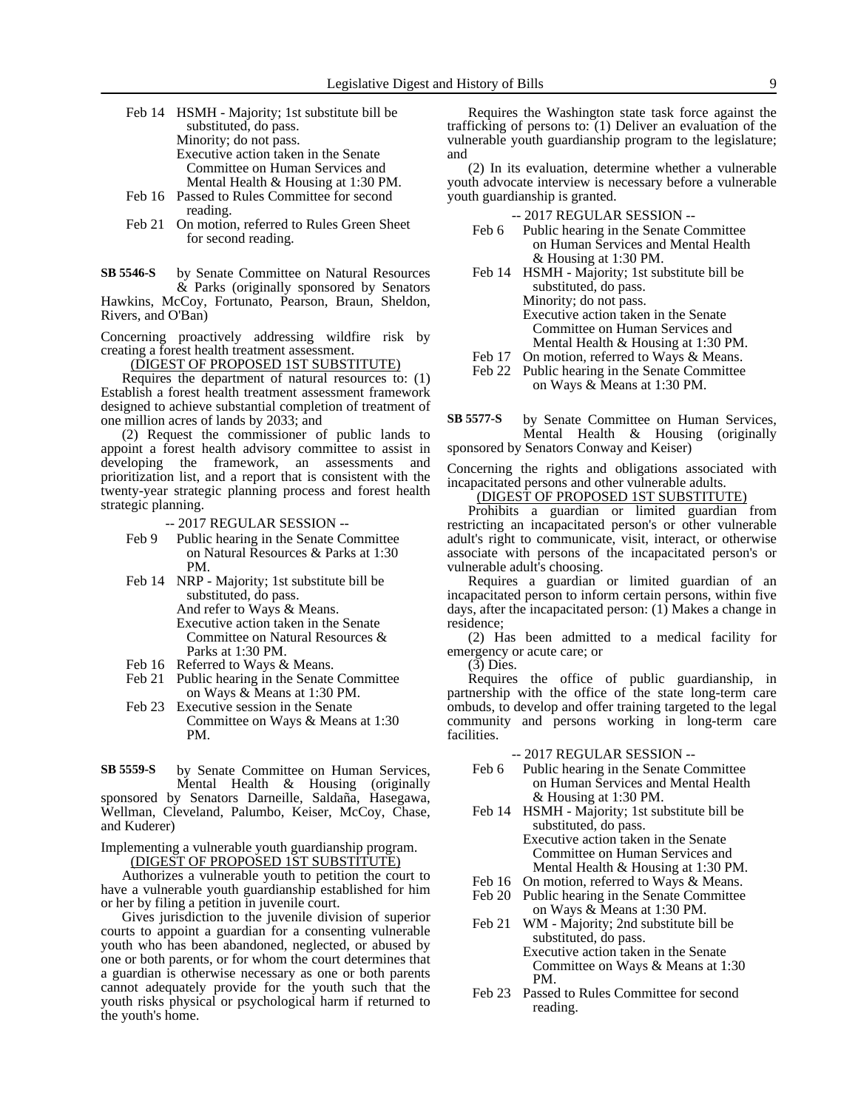- Feb 14 HSMH Majority; 1st substitute bill be substituted, do pass. Minority; do not pass. Executive action taken in the Senate Committee on Human Services and Mental Health & Housing at 1:30 PM. Feb 16 Passed to Rules Committee for second
- reading.
- Feb 21 On motion, referred to Rules Green Sheet for second reading.

by Senate Committee on Natural Resources & Parks (originally sponsored by Senators **SB 5546-S**

Hawkins, McCoy, Fortunato, Pearson, Braun, Sheldon, Rivers, and O'Ban)

Concerning proactively addressing wildfire risk by creating a forest health treatment assessment.

(DIGEST OF PROPOSED 1ST SUBSTITUTE)

Requires the department of natural resources to: (1) Establish a forest health treatment assessment framework designed to achieve substantial completion of treatment of one million acres of lands by 2033; and

(2) Request the commissioner of public lands to appoint a forest health advisory committee to assist in developing the framework, an assessments and prioritization list, and a report that is consistent with the twenty-year strategic planning process and forest health strategic planning.

-- 2017 REGULAR SESSION --

- Feb 9 Public hearing in the Senate Committee on Natural Resources & Parks at 1:30 PM.
- Feb 14 NRP Majority; 1st substitute bill be substituted, do pass. And refer to Ways & Means. Executive action taken in the Senate

Committee on Natural Resources & Parks at 1:30 PM. Feb 16 Referred to Ways & Means.

- Feb 21 Public hearing in the Senate Committee
- on Ways & Means at 1:30 PM.
- Feb 23 Executive session in the Senate Committee on Ways & Means at 1:30 PM.

by Senate Committee on Human Services, Mental Health & Housing (originally **SB 5559-S**

sponsored by Senators Darneille, Saldaña, Hasegawa, Wellman, Cleveland, Palumbo, Keiser, McCoy, Chase, and Kuderer)

Implementing a vulnerable youth guardianship program.

(DIGEST OF PROPOSED 1ST SUBSTITUTE)

Authorizes a vulnerable youth to petition the court to have a vulnerable youth guardianship established for him or her by filing a petition in juvenile court.

Gives jurisdiction to the juvenile division of superior courts to appoint a guardian for a consenting vulnerable youth who has been abandoned, neglected, or abused by one or both parents, or for whom the court determines that a guardian is otherwise necessary as one or both parents cannot adequately provide for the youth such that the youth risks physical or psychological harm if returned to the youth's home.

Requires the Washington state task force against the trafficking of persons to: (1) Deliver an evaluation of the vulnerable youth guardianship program to the legislature; and

(2) In its evaluation, determine whether a vulnerable youth advocate interview is necessary before a vulnerable youth guardianship is granted.

-- 2017 REGULAR SESSION --

- Feb 6 Public hearing in the Senate Committee on Human Services and Mental Health & Housing at 1:30 PM.
- Feb 14 HSMH Majority; 1st substitute bill be substituted, do pass. Minority; do not pass. Executive action taken in the Senate Committee on Human Services and Mental Health & Housing at 1:30 PM.
- Feb 17 On motion, referred to Ways & Means.
- Feb 22 Public hearing in the Senate Committee on Ways & Means at 1:30 PM.

by Senate Committee on Human Services, Mental Health & Housing (originally sponsored by Senators Conway and Keiser) **SB 5577-S**

Concerning the rights and obligations associated with incapacitated persons and other vulnerable adults.

(DIGEST OF PROPOSED 1ST SUBSTITUTE)

Prohibits a guardian or limited guardian from restricting an incapacitated person's or other vulnerable adult's right to communicate, visit, interact, or otherwise associate with persons of the incapacitated person's or vulnerable adult's choosing.

Requires a guardian or limited guardian of an incapacitated person to inform certain persons, within five days, after the incapacitated person: (1) Makes a change in residence;

(2) Has been admitted to a medical facility for emergency or acute care; or

(3) Dies.

Requires the office of public guardianship, in partnership with the office of the state long-term care ombuds, to develop and offer training targeted to the legal community and persons working in long-term care facilities.

- Feb 6 Public hearing in the Senate Committee on Human Services and Mental Health & Housing at 1:30 PM.
- Feb 14 HSMH Majority; 1st substitute bill be substituted, do pass. Executive action taken in the Senate Committee on Human Services and
- Mental Health & Housing at 1:30 PM.
- Feb 16 On motion, referred to Ways & Means. Feb 20 Public hearing in the Senate Committee on Ways & Means at 1:30 PM.
- Feb 21 WM Majority; 2nd substitute bill be substituted, do pass. Executive action taken in the Senate Committee on Ways & Means at 1:30 PM.
- Feb 23 Passed to Rules Committee for second reading.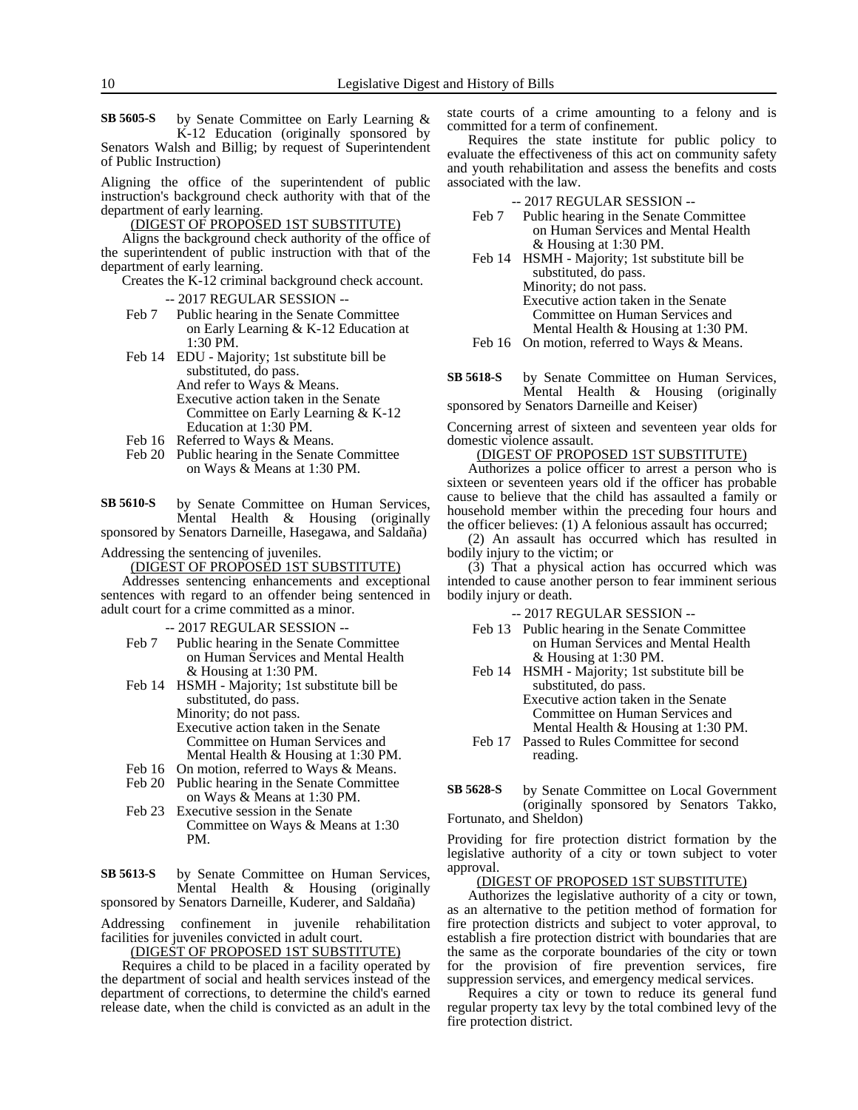by Senate Committee on Early Learning & K-12 Education (originally sponsored by Senators Walsh and Billig; by request of Superintendent of Public Instruction) **SB 5605-S**

Aligning the office of the superintendent of public instruction's background check authority with that of the department of early learning.

(DIGEST OF PROPOSED 1ST SUBSTITUTE)

Aligns the background check authority of the office of the superintendent of public instruction with that of the department of early learning.

Creates the K-12 criminal background check account.

- -- 2017 REGULAR SESSION --
- Feb 7 Public hearing in the Senate Committee on Early Learning & K-12 Education at 1:30 PM.
- Feb 14 EDU Majority; 1st substitute bill be substituted, do pass. And refer to Ways & Means. Executive action taken in the Senate Committee on Early Learning & K-12 Education at 1:30 PM.
- Feb 16 Referred to Ways & Means.
- Feb 20 Public hearing in the Senate Committee on Ways & Means at 1:30 PM.

by Senate Committee on Human Services, Mental Health & Housing (originally sponsored by Senators Darneille, Hasegawa, and Saldaña) **SB 5610-S**

#### Addressing the sentencing of juveniles.

(DIGEST OF PROPOSED 1ST SUBSTITUTE)

Addresses sentencing enhancements and exceptional sentences with regard to an offender being sentenced in adult court for a crime committed as a minor.

-- 2017 REGULAR SESSION --

Feb 7 Public hearing in the Senate Committee on Human Services and Mental Health & Housing at 1:30 PM.

Feb 14 HSMH - Majority; 1st substitute bill be substituted, do pass. Minority; do not pass. Executive action taken in the Senate Committee on Human Services and Mental Health & Housing at 1:30 PM.

- Feb 16 On motion, referred to Ways & Means.
- Feb 20 Public hearing in the Senate Committee on Ways & Means at 1:30 PM.
- Feb 23 Executive session in the Senate Committee on Ways & Means at 1:30 PM.

by Senate Committee on Human Services, Mental Health & Housing (originally sponsored by Senators Darneille, Kuderer, and Saldaña) **SB 5613-S**

Addressing confinement in juvenile rehabilitation facilities for juveniles convicted in adult court.

(DIGEST OF PROPOSED 1ST SUBSTITUTE)

Requires a child to be placed in a facility operated by the department of social and health services instead of the department of corrections, to determine the child's earned release date, when the child is convicted as an adult in the state courts of a crime amounting to a felony and is committed for a term of confinement.

Requires the state institute for public policy to evaluate the effectiveness of this act on community safety and youth rehabilitation and assess the benefits and costs associated with the law.

-- 2017 REGULAR SESSION --

- Feb 7 Public hearing in the Senate Committee on Human Services and Mental Health & Housing at 1:30 PM.
- Feb 14 HSMH Majority; 1st substitute bill be substituted, do pass. Minority; do not pass. Executive action taken in the Senate Committee on Human Services and Mental Health & Housing at 1:30 PM.
- Feb 16 On motion, referred to Ways & Means.

by Senate Committee on Human Services, Mental Health & Housing (originally sponsored by Senators Darneille and Keiser) **SB 5618-S**

Concerning arrest of sixteen and seventeen year olds for domestic violence assault.

(DIGEST OF PROPOSED 1ST SUBSTITUTE)

Authorizes a police officer to arrest a person who is sixteen or seventeen years old if the officer has probable cause to believe that the child has assaulted a family or household member within the preceding four hours and the officer believes: (1) A felonious assault has occurred;

(2) An assault has occurred which has resulted in bodily injury to the victim; or

(3) That a physical action has occurred which was intended to cause another person to fear imminent serious bodily injury or death.

-- 2017 REGULAR SESSION --

- Feb 13 Public hearing in the Senate Committee on Human Services and Mental Health & Housing at 1:30 PM.
- Feb 14 HSMH Majority; 1st substitute bill be substituted, do pass.

Executive action taken in the Senate Committee on Human Services and Mental Health & Housing at 1:30 PM.

- Feb 17 Passed to Rules Committee for second reading.
- by Senate Committee on Local Government (originally sponsored by Senators Takko, Fortunato, and Sheldon) **SB 5628-S**

Providing for fire protection district formation by the legislative authority of a city or town subject to voter approval.

### (DIGEST OF PROPOSED 1ST SUBSTITUTE)

Authorizes the legislative authority of a city or town, as an alternative to the petition method of formation for fire protection districts and subject to voter approval, to establish a fire protection district with boundaries that are the same as the corporate boundaries of the city or town for the provision of fire prevention services, fire suppression services, and emergency medical services.

Requires a city or town to reduce its general fund regular property tax levy by the total combined levy of the fire protection district.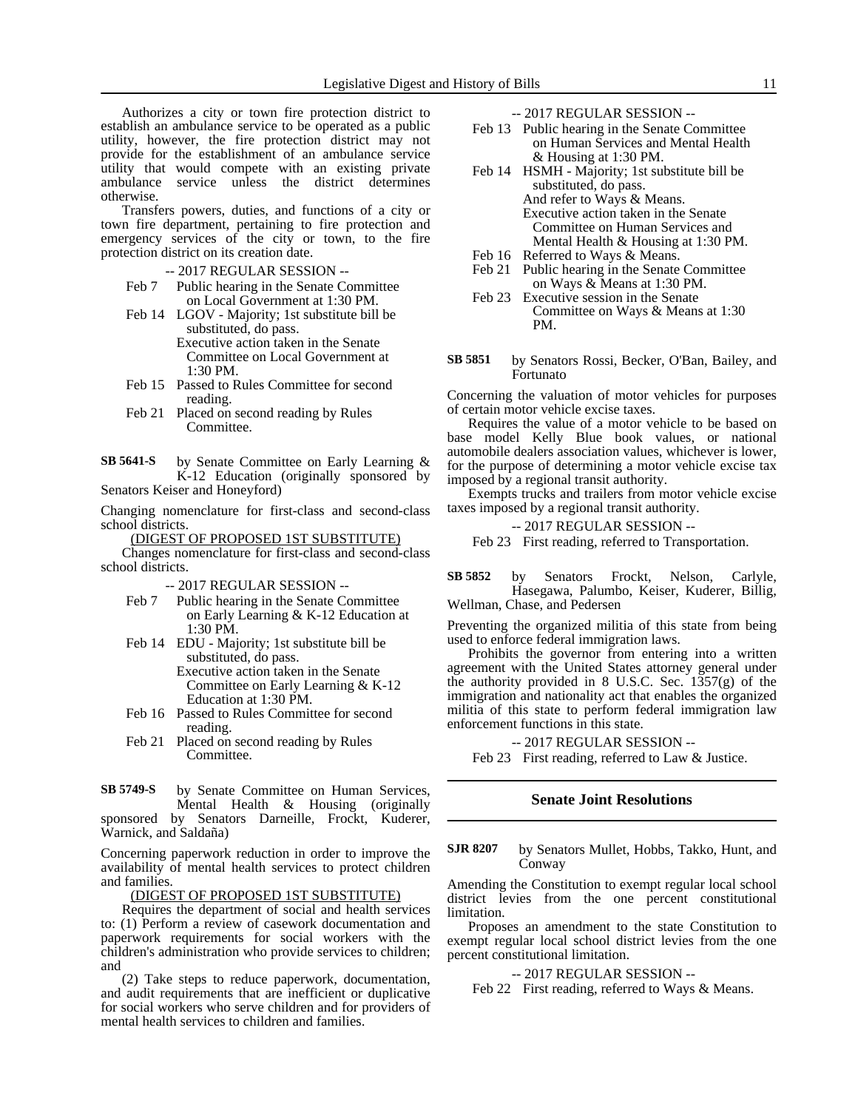Authorizes a city or town fire protection district to establish an ambulance service to be operated as a public utility, however, the fire protection district may not provide for the establishment of an ambulance service utility that would compete with an existing private ambulance service unless the district determines otherwise.

Transfers powers, duties, and functions of a city or town fire department, pertaining to fire protection and emergency services of the city or town, to the fire protection district on its creation date.

- -- 2017 REGULAR SESSION --
- Feb 7 Public hearing in the Senate Committee on Local Government at 1:30 PM.
- Feb 14 LGOV Majority; 1st substitute bill be substituted, do pass. Executive action taken in the Senate Committee on Local Government at 1:30 PM.
- Feb 15 Passed to Rules Committee for second reading.
- Feb 21 Placed on second reading by Rules Committee.

by Senate Committee on Early Learning & K-12 Education (originally sponsored by Senators Keiser and Honeyford) **SB 5641-S**

Changing nomenclature for first-class and second-class school districts.

(DIGEST OF PROPOSED 1ST SUBSTITUTE)

Changes nomenclature for first-class and second-class school districts.

-- 2017 REGULAR SESSION --

- Feb 7 Public hearing in the Senate Committee on Early Learning & K-12 Education at 1:30 PM.
- Feb 14 EDU Majority; 1st substitute bill be substituted, do pass. Executive action taken in the Senate Committee on Early Learning & K-12 Education at 1:30 PM.
- Feb 16 Passed to Rules Committee for second reading.
- Feb 21 Placed on second reading by Rules Committee.

by Senate Committee on Human Services, Mental Health & Housing (originally sponsored by Senators Darneille, Frockt, Kuderer, Warnick, and Saldaña) **SB 5749-S**

Concerning paperwork reduction in order to improve the availability of mental health services to protect children and families.

(DIGEST OF PROPOSED 1ST SUBSTITUTE)

Requires the department of social and health services to: (1) Perform a review of casework documentation and paperwork requirements for social workers with the children's administration who provide services to children; and

(2) Take steps to reduce paperwork, documentation, and audit requirements that are inefficient or duplicative for social workers who serve children and for providers of mental health services to children and families.

-- 2017 REGULAR SESSION --

- Feb 13 Public hearing in the Senate Committee on Human Services and Mental Health & Housing at 1:30 PM.
- Feb 14 HSMH Majority; 1st substitute bill be substituted, do pass. And refer to Ways & Means. Executive action taken in the Senate Committee on Human Services and Mental Health & Housing at 1:30 PM.
- Feb 16 Referred to Ways & Means.
- Feb 21 Public hearing in the Senate Committee on Ways & Means at 1:30 PM.
- Feb 23 Executive session in the Senate Committee on Ways & Means at 1:30 PM.
- by Senators Rossi, Becker, O'Ban, Bailey, and Fortunato **SB 5851**

Concerning the valuation of motor vehicles for purposes of certain motor vehicle excise taxes.

Requires the value of a motor vehicle to be based on base model Kelly Blue book values, or national automobile dealers association values, whichever is lower, for the purpose of determining a motor vehicle excise tax imposed by a regional transit authority.

Exempts trucks and trailers from motor vehicle excise taxes imposed by a regional transit authority.

-- 2017 REGULAR SESSION --

Feb 23 First reading, referred to Transportation.

by Senators Frockt, Nelson, Carlyle, Hasegawa, Palumbo, Keiser, Kuderer, Billig, Wellman, Chase, and Pedersen **SB 5852**

Preventing the organized militia of this state from being used to enforce federal immigration laws.

Prohibits the governor from entering into a written agreement with the United States attorney general under the authority provided in 8 U.S.C. Sec. 1357(g) of the immigration and nationality act that enables the organized militia of this state to perform federal immigration law enforcement functions in this state.

-- 2017 REGULAR SESSION --

Feb 23 First reading, referred to Law & Justice.

## **Senate Joint Resolutions**

by Senators Mullet, Hobbs, Takko, Hunt, and Conway **SJR 8207**

Amending the Constitution to exempt regular local school district levies from the one percent constitutional limitation.

Proposes an amendment to the state Constitution to exempt regular local school district levies from the one percent constitutional limitation.

-- 2017 REGULAR SESSION --

Feb 22 First reading, referred to Ways & Means.